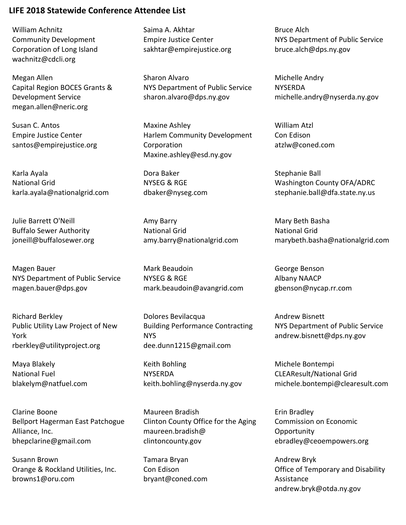William Achnitz Community Development Corporation of Long Island wachnitz@cdcli.org

Megan Allen Capital Region BOCES Grants & Development Service megan.allen@neric.org

Susan C. Antos Empire Justice Center santos@empirejustice.org

Karla Ayala National Grid karla.ayala@nationalgrid.com

Julie Barrett O'Neill Buffalo Sewer Authority joneill@buffalosewer.org

Magen Bauer NYS Department of Public Service magen.bauer@dps.gov

Richard Berkley Public Utility Law Project of New York rberkley@utilityproject.org

Maya Blakely National Fuel blakelym@natfuel.com

Clarine Boone Bellport Hagerman East Patchogue Alliance, Inc. bhepclarine@gmail.com

Susann Brown Orange & Rockland Utilities, Inc. browns1@oru.com

Saima A. Akhtar Empire Justice Center sakhtar@empirejustice.org

Sharon Alvaro NYS Department of Public Service sharon.alvaro@dps.ny.gov

Maxine Ashley Harlem Community Development Corporation Maxine.ashley@esd.ny.gov

Dora Baker NYSEG & RGE dbaker@nyseg.com

Amy Barry National Grid amy.barry@nationalgrid.com

Mark Beaudoin NYSEG & RGE mark.beaudoin@avangrid.com

Dolores Bevilacqua Building Performance Contracting NYS dee.dunn1215@gmail.com

Keith Bohling NYSERDA keith.bohling@nyserda.ny.gov

Maureen Bradish Clinton County Office for the Aging maureen.bradish@ clintoncounty.gov

Tamara Bryan Con Edison bryant@coned.com Bruce Alch NYS Department of Public Service bruce.alch@dps.ny.gov

Michelle Andry NYSERDA michelle.andry@nyserda.ny.gov

William Atzl Con Edison atzlw@coned.com

Stephanie Ball Washington County OFA/ADRC stephanie.ball@dfa.state.ny.us

Mary Beth Basha National Grid marybeth.basha@nationalgrid.com

George Benson Albany NAACP gbenson@nycap.rr.com

Andrew Bisnett NYS Department of Public Service andrew.bisnett@dps.ny.gov

Michele Bontempi CLEAResult/National Grid michele.bontempi@clearesult.com

Erin Bradley Commission on Economic **Opportunity** ebradley@ceoempowers.org

Andrew Bryk Office of Temporary and Disability Assistance andrew.bryk@otda.ny.gov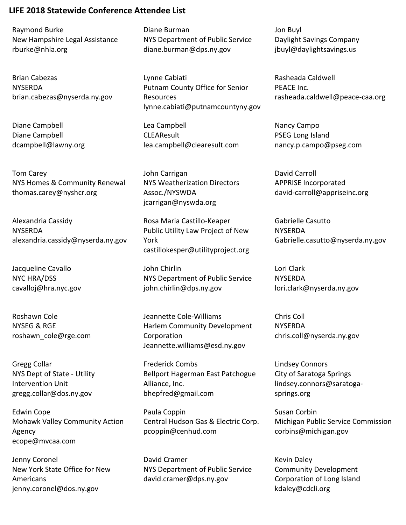Raymond Burke New Hampshire Legal Assistance rburke@nhla.org

Brian Cabezas NYSERDA brian.cabezas@nyserda.ny.gov

Diane Campbell Diane Campbell dcampbell@lawny.org

Tom Carey NYS Homes & Community Renewal thomas.carey@nyshcr.org

Alexandria Cassidy **NYSERDA** alexandria.cassidy@nyserda.ny.gov

Jacqueline Cavallo NYC HRA/DSS cavalloj@hra.nyc.gov

Roshawn Cole NYSEG & RGE roshawn\_cole@rge.com

Gregg Collar NYS Dept of State - Utility Intervention Unit gregg.collar@dos.ny.gov

Edwin Cope Mohawk Valley Community Action Agency ecope@mvcaa.com

Jenny Coronel New York State Office for New Americans jenny.coronel@dos.ny.gov

Diane Burman NYS Department of Public Service diane.burman@dps.ny.gov

Lynne Cabiati Putnam County Office for Senior Resources lynne.cabiati@putnamcountyny.gov

Lea Campbell **CLEAResult** lea.campbell@clearesult.com

John Carrigan NYS Weatherization Directors Assoc./NYSWDA jcarrigan@nyswda.org

Rosa Maria Castillo-Keaper Public Utility Law Project of New York castillokesper@utilityproject.org

John Chirlin NYS Department of Public Service john.chirlin@dps.ny.gov

Jeannette Cole-Williams Harlem Community Development Corporation Jeannette.williams@esd.ny.gov

Frederick Combs Bellport Hagerman East Patchogue Alliance, Inc. bhepfred@gmail.com

Paula Coppin Central Hudson Gas & Electric Corp. pcoppin@cenhud.com

David Cramer NYS Department of Public Service david.cramer@dps.ny.gov

Jon Buyl Daylight Savings Company jbuyl@daylightsavings.us

Rasheada Caldwell PEACE Inc. rasheada.caldwell@peace-caa.org

Nancy Campo PSEG Long Island nancy.p.campo@pseg.com

David Carroll APPRISE Incorporated david-carroll@appriseinc.org

Gabrielle Casutto **NYSERDA** Gabrielle.casutto@nyserda.ny.gov

Lori Clark **NYSERDA** lori.clark@nyserda.ny.gov

Chris Coll NYSERDA chris.coll@nyserda.ny.gov

Lindsey Connors City of Saratoga Springs lindsey.connors@saratogasprings.org

Susan Corbin Michigan Public Service Commission corbins@michigan.gov

Kevin Daley Community Development Corporation of Long Island kdaley@cdcli.org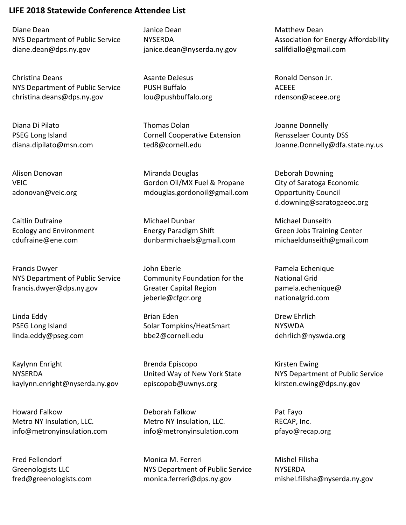Diane Dean NYS Department of Public Service diane.dean@dps.ny.gov

Christina Deans NYS Department of Public Service christina.deans@dps.ny.gov

Diana Di Pilato PSEG Long Island diana.dipilato@msn.com

Alison Donovan **VEIC** adonovan@veic.org

Caitlin Dufraine Ecology and Environment cdufraine@ene.com

Francis Dwyer NYS Department of Public Service francis.dwyer@dps.ny.gov

Linda Eddy PSEG Long Island linda.eddy@pseg.com

Kaylynn Enright NYSERDA kaylynn.enright@nyserda.ny.gov

Howard Falkow Metro NY Insulation, LLC. info@metronyinsulation.com

Fred Fellendorf Greenologists LLC fred@greenologists.com Janice Dean NYSERDA janice.dean@nyserda.ny.gov

Asante DeJesus PUSH Buffalo lou@pushbuffalo.org

Thomas Dolan Cornell Cooperative Extension ted8@cornell.edu

Miranda Douglas Gordon Oil/MX Fuel & Propane mdouglas.gordonoil@gmail.com

Michael Dunbar Energy Paradigm Shift dunbarmichaels@gmail.com

John Eberle Community Foundation for the Greater Capital Region jeberle@cfgcr.org

Brian Eden Solar Tompkins/HeatSmart bbe2@cornell.edu

Brenda Episcopo United Way of New York State episcopob@uwnys.org

Deborah Falkow Metro NY Insulation, LLC. info@metronyinsulation.com

Monica M. Ferreri NYS Department of Public Service monica.ferreri@dps.ny.gov

Matthew Dean Association for Energy Affordability salifdiallo@gmail.com

Ronald Denson Jr. ACEEE rdenson@aceee.org

Joanne Donnelly Rensselaer County DSS Joanne.Donnelly@dfa.state.ny.us

Deborah Downing City of Saratoga Economic Opportunity Council d.downing@saratogaeoc.org

Michael Dunseith Green Jobs Training Center michaeldunseith@gmail.com

Pamela Echenique National Grid pamela.echenique@ nationalgrid.com

Drew Ehrlich NYSWDA dehrlich@nyswda.org

Kirsten Ewing NYS Department of Public Service kirsten.ewing@dps.ny.gov

Pat Fayo RECAP, Inc. pfayo@recap.org

Mishel Filisha **NYSERDA** mishel.filisha@nyserda.ny.gov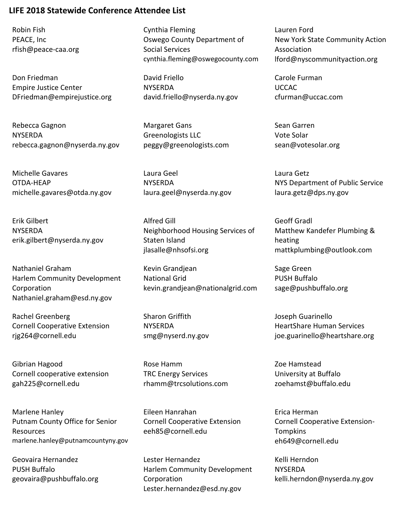Robin Fish PEACE, Inc rfish@peace-caa.org

Don Friedman Empire Justice Center DFriedman@empirejustice.org

Rebecca Gagnon NYSERDA rebecca.gagnon@nyserda.ny.gov

Michelle Gavares OTDA-HEAP michelle.gavares@otda.ny.gov

Erik Gilbert **NYSERDA** erik.gilbert@nyserda.ny.gov

Nathaniel Graham Harlem Community Development Corporation Nathaniel.graham@esd.ny.gov

Rachel Greenberg Cornell Cooperative Extension rjg264@cornell.edu

Gibrian Hagood Cornell cooperative extension gah225@cornell.edu

Marlene Hanley Putnam County Office for Senior Resources marlene.hanley@putnamcountyny.gov

Geovaira Hernandez PUSH Buffalo geovaira@pushbuffalo.org Cynthia Fleming Oswego County Department of Social Services cynthia.fleming@oswegocounty.com

David Friello NYSERDA david.friello@nyserda.ny.gov

Margaret Gans Greenologists LLC peggy@greenologists.com

Laura Geel NYSERDA laura.geel@nyserda.ny.gov

Alfred Gill Neighborhood Housing Services of Staten Island jlasalle@nhsofsi.org

Kevin Grandjean National Grid kevin.grandjean@nationalgrid.com

Sharon Griffith NYSERDA smg@nyserd.ny.gov

Rose Hamm TRC Energy Services rhamm@trcsolutions.com

Eileen Hanrahan Cornell Cooperative Extension eeh85@cornell.edu

Lester Hernandez Harlem Community Development Corporation Lester.hernandez@esd.ny.gov

Lauren Ford New York State Community Action Association lford@nyscommunityaction.org

Carole Furman UCCAC cfurman@uccac.com

Sean Garren Vote Solar sean@votesolar.org

Laura Getz NYS Department of Public Service laura.getz@dps.ny.gov

Geoff Gradl Matthew Kandefer Plumbing & heating mattkplumbing@outlook.com

Sage Green PUSH Buffalo sage@pushbuffalo.org

Joseph Guarinello HeartShare Human Services joe.guarinello@heartshare.org

Zoe Hamstead University at Buffalo zoehamst@buffalo.edu

Erica Herman Cornell Cooperative Extension-**Tompkins** eh649@cornell.edu

Kelli Herndon **NYSERDA** kelli.herndon@nyserda.ny.gov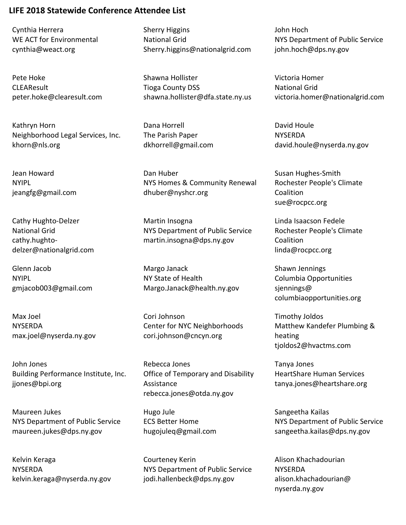Cynthia Herrera WE ACT for Environmental cynthia@weact.org

Pete Hoke **CLEAResult** peter.hoke@clearesult.com

Kathryn Horn Neighborhood Legal Services, Inc. khorn@nls.org

Jean Howard NYIPL jeangfg@gmail.com

Cathy Hughto-Delzer National Grid cathy.hughtodelzer@nationalgrid.com

Glenn Jacob NYIPL gmjacob003@gmail.com

Max Joel NYSERDA max.joel@nyserda.ny.gov

John Jones Building Performance Institute, Inc. jjones@bpi.org

Maureen Jukes NYS Department of Public Service maureen.jukes@dps.ny.gov

Kelvin Keraga **NYSERDA** kelvin.keraga@nyserda.ny.gov Sherry Higgins National Grid Sherry.higgins@nationalgrid.com

Shawna Hollister Tioga County DSS shawna.hollister@dfa.state.ny.us

Dana Horrell The Parish Paper dkhorrell@gmail.com

Dan Huber NYS Homes & Community Renewal dhuber@nyshcr.org

Martin Insogna NYS Department of Public Service martin.insogna@dps.ny.gov

Margo Janack NY State of Health Margo.Janack@health.ny.gov

Cori Johnson Center for NYC Neighborhoods cori.johnson@cncyn.org

Rebecca Jones Office of Temporary and Disability Assistance rebecca.jones@otda.ny.gov

Hugo Jule ECS Better Home hugojuleq@gmail.com

Courteney Kerin NYS Department of Public Service jodi.hallenbeck@dps.ny.gov

John Hoch NYS Department of Public Service john.hoch@dps.ny.gov

Victoria Homer National Grid victoria.homer@nationalgrid.com

David Houle NYSERDA david.houle@nyserda.ny.gov

Susan Hughes-Smith Rochester People's Climate Coalition sue@rocpcc.org

Linda Isaacson Fedele Rochester People's Climate Coalition linda@rocpcc.org

Shawn Jennings Columbia Opportunities sjennings@ columbiaopportunities.org

Timothy Joldos Matthew Kandefer Plumbing & heating tjoldos2@hvactms.com

Tanya Jones HeartShare Human Services tanya.jones@heartshare.org

Sangeetha Kailas NYS Department of Public Service sangeetha.kailas@dps.ny.gov

Alison Khachadourian **NYSERDA** alison.khachadourian@ nyserda.ny.gov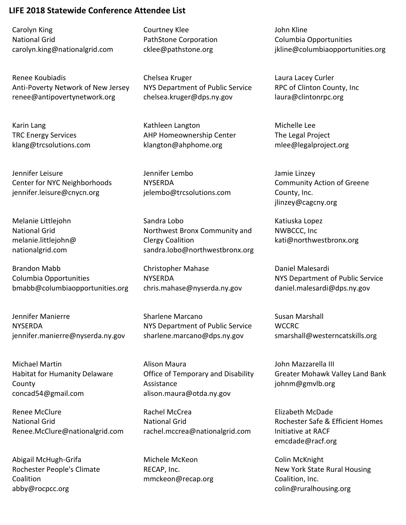Carolyn King National Grid carolyn.king@nationalgrid.com

Renee Koubiadis Anti-Poverty Network of New Jersey renee@antipovertynetwork.org

Karin Lang TRC Energy Services klang@trcsolutions.com

Jennifer Leisure Center for NYC Neighborhoods jennifer.leisure@cnycn.org

Melanie Littlejohn National Grid melanie.littlejohn@ nationalgrid.com

Brandon Mabb Columbia Opportunities bmabb@columbiaopportunities.org

Jennifer Manierre **NYSERDA** jennifer.manierre@nyserda.ny.gov

Michael Martin Habitat for Humanity Delaware County concad54@gmail.com

Renee McClure National Grid Renee.McClure@nationalgrid.com

Abigail McHugh-Grifa Rochester People's Climate Coalition abby@rocpcc.org

Courtney Klee PathStone Corporation cklee@pathstone.org

Chelsea Kruger NYS Department of Public Service chelsea.kruger@dps.ny.gov

Kathleen Langton AHP Homeownership Center klangton@ahphome.org

Jennifer Lembo NYSERDA jelembo@trcsolutions.com

Sandra Lobo Northwest Bronx Community and Clergy Coalition sandra.lobo@northwestbronx.org

Christopher Mahase **NYSERDA** chris.mahase@nyserda.ny.gov

Sharlene Marcano NYS Department of Public Service sharlene.marcano@dps.ny.gov

Alison Maura Office of Temporary and Disability Assistance alison.maura@otda.ny.gov

Rachel McCrea National Grid rachel.mccrea@nationalgrid.com

Michele McKeon RECAP, Inc. mmckeon@recap.org John Kline Columbia Opportunities jkline@columbiaopportunities.org

Laura Lacey Curler RPC of Clinton County, Inc laura@clintonrpc.org

Michelle Lee The Legal Project mlee@legalproject.org

Jamie Linzey Community Action of Greene County, Inc. jlinzey@cagcny.org

Katiuska Lopez NWBCCC, Inc kati@northwestbronx.org

Daniel Malesardi NYS Department of Public Service daniel.malesardi@dps.ny.gov

Susan Marshall **WCCRC** smarshall@westerncatskills.org

John Mazzarella III Greater Mohawk Valley Land Bank johnm@gmvlb.org

Elizabeth McDade Rochester Safe & Efficient Homes Initiative at RACF emcdade@racf.org

Colin McKnight New York State Rural Housing Coalition, Inc. colin@ruralhousing.org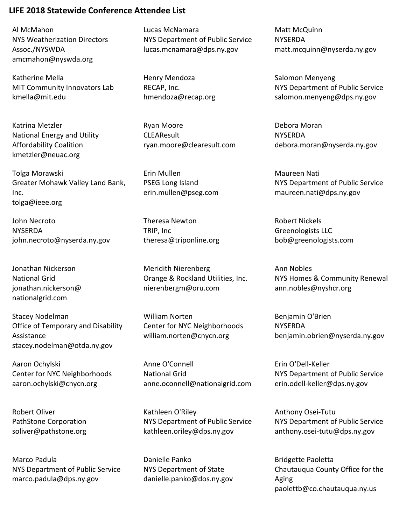Al McMahon NYS Weatherization Directors Assoc./NYSWDA amcmahon@nyswda.org

Katherine Mella MIT Community Innovators Lab kmella@mit.edu

Katrina Metzler National Energy and Utility Affordability Coalition kmetzler@neuac.org

Tolga Morawski Greater Mohawk Valley Land Bank, Inc. tolga@ieee.org

John Necroto **NYSERDA** john.necroto@nyserda.ny.gov

Jonathan Nickerson National Grid jonathan.nickerson@ nationalgrid.com

Stacey Nodelman Office of Temporary and Disability Assistance stacey.nodelman@otda.ny.gov

Aaron Ochylski Center for NYC Neighborhoods aaron.ochylski@cnycn.org

Robert Oliver PathStone Corporation soliver@pathstone.org

Marco Padula NYS Department of Public Service marco.padula@dps.ny.gov

Lucas McNamara NYS Department of Public Service lucas.mcnamara@dps.ny.gov

Henry Mendoza RECAP, Inc. hmendoza@recap.org

Ryan Moore CLEAResult ryan.moore@clearesult.com

Erin Mullen PSEG Long Island erin.mullen@pseg.com

Theresa Newton TRIP, Inc theresa@triponline.org

Meridith Nierenberg Orange & Rockland Utilities, Inc. nierenbergm@oru.com

William Norten Center for NYC Neighborhoods william.norten@cnycn.org

Anne O'Connell National Grid anne.oconnell@nationalgrid.com

Kathleen O'Riley NYS Department of Public Service kathleen.oriley@dps.ny.gov

Danielle Panko NYS Department of State danielle.panko@dos.ny.gov Matt McQuinn NYSERDA matt.mcquinn@nyserda.ny.gov

Salomon Menyeng NYS Department of Public Service salomon.menyeng@dps.ny.gov

Debora Moran **NYSERDA** debora.moran@nyserda.ny.gov

Maureen Nati NYS Department of Public Service maureen.nati@dps.ny.gov

Robert Nickels Greenologists LLC bob@greenologists.com

Ann Nobles NYS Homes & Community Renewal ann.nobles@nyshcr.org

Benjamin O'Brien **NYSERDA** benjamin.obrien@nyserda.ny.gov

Erin O'Dell-Keller NYS Department of Public Service erin.odell-keller@dps.ny.gov

Anthony Osei-Tutu NYS Department of Public Service anthony.osei-tutu@dps.ny.gov

Bridgette Paoletta Chautauqua County Office for the Aging paolettb@co.chautauqua.ny.us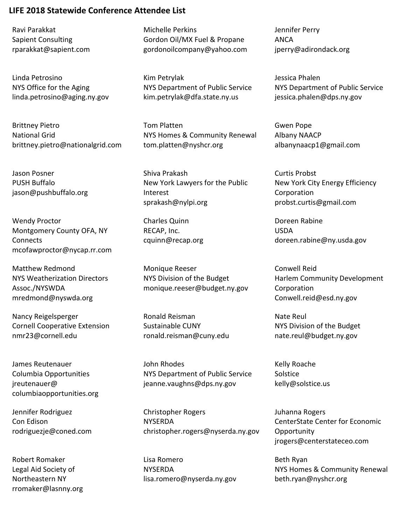Ravi Parakkat Sapient Consulting rparakkat@sapient.com

Linda Petrosino NYS Office for the Aging linda.petrosino@aging.ny.gov

Brittney Pietro National Grid brittney.pietro@nationalgrid.com

Jason Posner PUSH Buffalo jason@pushbuffalo.org

Wendy Proctor Montgomery County OFA, NY **Connects** mcofawproctor@nycap.rr.com

Matthew Redmond NYS Weatherization Directors Assoc./NYSWDA mredmond@nyswda.org

Nancy Reigelsperger Cornell Cooperative Extension nmr23@cornell.edu

James Reutenauer Columbia Opportunities jreutenauer@ columbiaopportunities.org

Jennifer Rodriguez Con Edison rodriguezje@coned.com

Robert Romaker Legal Aid Society of Northeastern NY rromaker@lasnny.org Michelle Perkins Gordon Oil/MX Fuel & Propane gordonoilcompany@yahoo.com

Kim Petrylak NYS Department of Public Service kim.petrylak@dfa.state.ny.us

Tom Platten NYS Homes & Community Renewal tom.platten@nyshcr.org

Shiva Prakash New York Lawyers for the Public Interest sprakash@nylpi.org

Charles Quinn RECAP, Inc. cquinn@recap.org

Monique Reeser NYS Division of the Budget monique.reeser@budget.ny.gov

Ronald Reisman Sustainable CUNY ronald.reisman@cuny.edu

John Rhodes NYS Department of Public Service jeanne.vaughns@dps.ny.gov

Christopher Rogers **NYSERDA** christopher.rogers@nyserda.ny.gov

Lisa Romero **NYSERDA** lisa.romero@nyserda.ny.gov Jennifer Perry ANCA jperry@adirondack.org

Jessica Phalen NYS Department of Public Service jessica.phalen@dps.ny.gov

Gwen Pope Albany NAACP albanynaacp1@gmail.com

Curtis Probst New York City Energy Efficiency Corporation probst.curtis@gmail.com

Doreen Rabine USDA doreen.rabine@ny.usda.gov

Conwell Reid Harlem Community Development Corporation Conwell.reid@esd.ny.gov

Nate Reul NYS Division of the Budget nate.reul@budget.ny.gov

Kelly Roache Solstice kelly@solstice.us

Juhanna Rogers CenterState Center for Economic **Opportunity** jrogers@centerstateceo.com

Beth Ryan NYS Homes & Community Renewal beth.ryan@nyshcr.org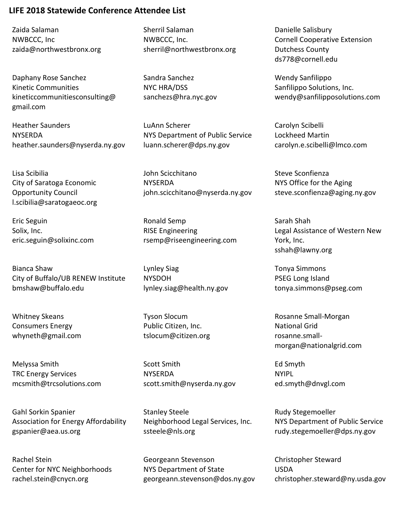Zaida Salaman NWBCCC, Inc zaida@northwestbronx.org

Daphany Rose Sanchez Kinetic Communities kineticcommunitiesconsulting@ gmail.com

Heather Saunders **NYSERDA** heather.saunders@nyserda.ny.gov

Lisa Scibilia City of Saratoga Economic Opportunity Council l.scibilia@saratogaeoc.org

Eric Seguin Solix, Inc. eric.seguin@solixinc.com

Bianca Shaw City of Buffalo/UB RENEW Institute bmshaw@buffalo.edu

Whitney Skeans Consumers Energy whyneth@gmail.com

Melyssa Smith TRC Energy Services mcsmith@trcsolutions.com

Gahl Sorkin Spanier Association for Energy Affordability gspanier@aea.us.org

Rachel Stein Center for NYC Neighborhoods rachel.stein@cnycn.org

Sherril Salaman NWBCCC, Inc. sherril@northwestbronx.org

Sandra Sanchez NYC HRA/DSS sanchezs@hra.nyc.gov

LuAnn Scherer NYS Department of Public Service luann.scherer@dps.ny.gov

John Scicchitano NYSERDA john.scicchitano@nyserda.ny.gov

Ronald Semp RISE Engineering rsemp@riseengineering.com

Lynley Siag NYSDOH lynley.siag@health.ny.gov

Tyson Slocum Public Citizen, Inc. tslocum@citizen.org

Scott Smith **NYSERDA** scott.smith@nyserda.ny.gov

Stanley Steele Neighborhood Legal Services, Inc. ssteele@nls.org

Georgeann Stevenson NYS Department of State georgeann.stevenson@dos.ny.gov Danielle Salisbury Cornell Cooperative Extension Dutchess County ds778@cornell.edu

Wendy Sanfilippo Sanfilippo Solutions, Inc. wendy@sanfilipposolutions.com

Carolyn Scibelli Lockheed Martin carolyn.e.scibelli@lmco.com

Steve Sconfienza NYS Office for the Aging steve.sconfienza@aging.ny.gov

Sarah Shah Legal Assistance of Western New York, Inc. sshah@lawny.org

Tonya Simmons PSEG Long Island tonya.simmons@pseg.com

Rosanne Small-Morgan National Grid rosanne.smallmorgan@nationalgrid.com

Ed Smyth NYIPL ed.smyth@dnvgl.com

Rudy Stegemoeller NYS Department of Public Service rudy.stegemoeller@dps.ny.gov

Christopher Steward USDA christopher.steward@ny.usda.gov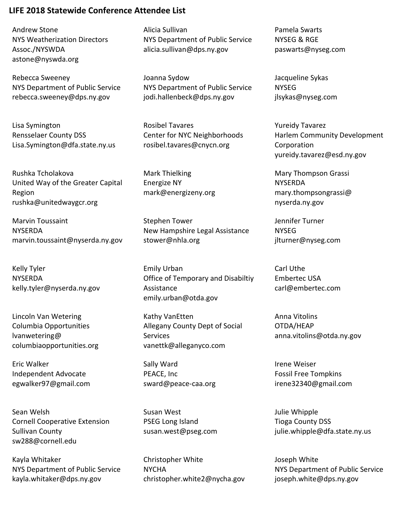Andrew Stone NYS Weatherization Directors Assoc./NYSWDA astone@nyswda.org

Rebecca Sweeney NYS Department of Public Service rebecca.sweeney@dps.ny.gov

Lisa Symington Rensselaer County DSS Lisa.Symington@dfa.state.ny.us

Rushka Tcholakova United Way of the Greater Capital Region rushka@unitedwaygcr.org

Marvin Toussaint **NYSERDA** marvin.toussaint@nyserda.ny.gov

Kelly Tyler **NYSERDA** kelly.tyler@nyserda.ny.gov

Lincoln Van Wetering Columbia Opportunities lvanwetering@ columbiaopportunities.org

Eric Walker Independent Advocate egwalker97@gmail.com

Sean Welsh Cornell Cooperative Extension Sullivan County sw288@cornell.edu

Kayla Whitaker NYS Department of Public Service kayla.whitaker@dps.ny.gov

Alicia Sullivan NYS Department of Public Service alicia.sullivan@dps.ny.gov

Joanna Sydow NYS Department of Public Service jodi.hallenbeck@dps.ny.gov

Rosibel Tavares Center for NYC Neighborhoods rosibel.tavares@cnycn.org

Mark Thielking Energize NY mark@energizeny.org

Stephen Tower New Hampshire Legal Assistance stower@nhla.org

Emily Urban Office of Temporary and Disabiltiy Assistance emily.urban@otda.gov

Kathy VanEtten Allegany County Dept of Social Services vanettk@alleganyco.com

Sally Ward PEACE, Inc sward@peace-caa.org

Susan West PSEG Long Island susan.west@pseg.com

Christopher White **NYCHA** christopher.white2@nycha.gov Pamela Swarts NYSEG & RGE paswarts@nyseg.com

Jacqueline Sykas NYSEG jlsykas@nyseg.com

Yureidy Tavarez Harlem Community Development Corporation yureidy.tavarez@esd.ny.gov

Mary Thompson Grassi NYSERDA mary.thompsongrassi@ nyserda.ny.gov

Jennifer Turner NYSEG jlturner@nyseg.com

Carl Uthe Embertec USA carl@embertec.com

Anna Vitolins OTDA/HEAP anna.vitolins@otda.ny.gov

Irene Weiser Fossil Free Tompkins irene32340@gmail.com

Julie Whipple Tioga County DSS julie.whipple@dfa.state.ny.us

Joseph White NYS Department of Public Service joseph.white@dps.ny.gov